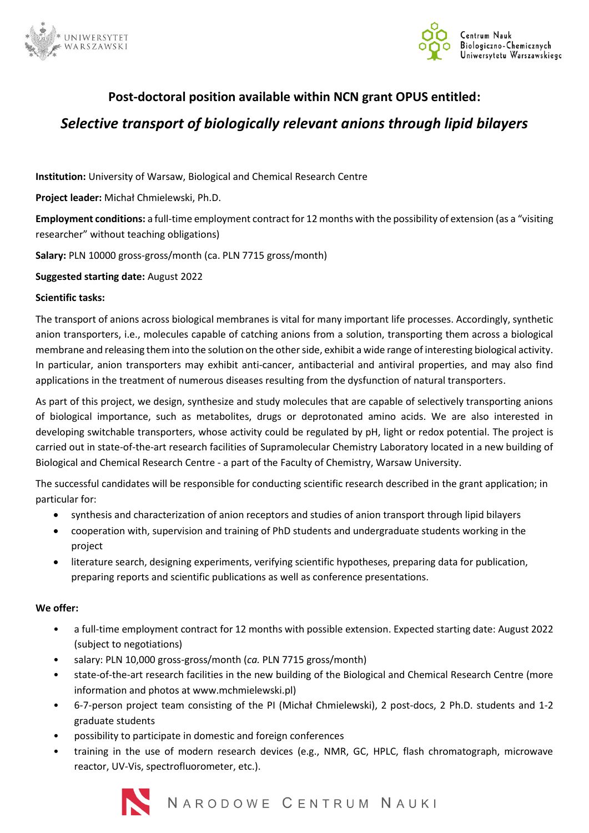



## **Post-doctoral position available within NCN grant OPUS entitled:**

# *Selective transport of biologically relevant anions through lipid bilayers*

**Institution:** University of Warsaw, Biological and Chemical Research Centre

**Project leader:** Michał Chmielewski, Ph.D.

**Employment conditions:** a full-time employment contract for 12 months with the possibility of extension (as a "visiting researcher" without teaching obligations)

**Salary:** PLN 10000 gross-gross/month (ca. PLN 7715 gross/month)

**Suggested starting date:** August 2022

## **Scientific tasks:**

The transport of anions across biological membranes is vital for many important life processes. Accordingly, synthetic anion transporters, i.e., molecules capable of catching anions from a solution, transporting them across a biological membrane and releasing them into the solution on the other side, exhibit a wide range of interesting biological activity. In particular, anion transporters may exhibit anti-cancer, antibacterial and antiviral properties, and may also find applications in the treatment of numerous diseases resulting from the dysfunction of natural transporters.

As part of this project, we design, synthesize and study molecules that are capable of selectively transporting anions of biological importance, such as metabolites, drugs or deprotonated amino acids. We are also interested in developing switchable transporters, whose activity could be regulated by pH, light or redox potential. The project is carried out in state-of-the-art research facilities of Supramolecular Chemistry Laboratory located in a new building of Biological and Chemical Research Centre - a part of the Faculty of Chemistry, Warsaw University.

The successful candidates will be responsible for conducting scientific research described in the grant application; in particular for:

- synthesis and characterization of anion receptors and studies of anion transport through lipid bilayers
- cooperation with, supervision and training of PhD students and undergraduate students working in the project
- literature search, designing experiments, verifying scientific hypotheses, preparing data for publication, preparing reports and scientific publications as well as conference presentations.

## **We offer:**

- a full-time employment contract for 12 months with possible extension. Expected starting date: August 2022 (subject to negotiations)
- salary: PLN 10,000 gross-gross/month (*ca.* PLN 7715 gross/month)
- state-of-the-art research facilities in the new building of the Biological and Chemical Research Centre (more information and photos at www.mchmielewski.pl)
- 6-7-person project team consisting of the PI (Michał Chmielewski), 2 post-docs, 2 Ph.D. students and 1-2 graduate students
- possibility to participate in domestic and foreign conferences
- training in the use of modern research devices (e.g., NMR, GC, HPLC, flash chromatograph, microwave reactor, UV-Vis, spectrofluorometer, etc.).

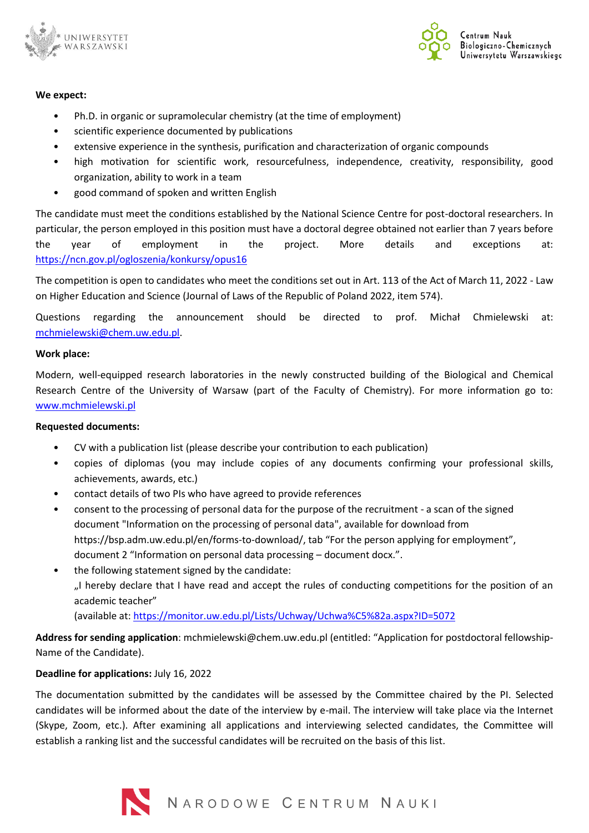



#### **We expect:**

- Ph.D. in organic or supramolecular chemistry (at the time of employment)
- scientific experience documented by publications
- extensive experience in the synthesis, purification and characterization of organic compounds
- high motivation for scientific work, resourcefulness, independence, creativity, responsibility, good organization, ability to work in a team
- good command of spoken and written English

The candidate must meet the conditions established by the National Science Centre for post-doctoral researchers. In particular, the person employed in this position must have a doctoral degree obtained not earlier than 7 years before the year of employment in the project. More details and exceptions at: <https://ncn.gov.pl/ogloszenia/konkursy/opus16>

The competition is open to candidates who meet the conditions set out in Art. 113 of the Act of March 11, 2022 - Law on Higher Education and Science (Journal of Laws of the Republic of Poland 2022, item 574).

Questions regarding the announcement should be directed to prof. Michał Chmielewski at: [mchmielewski@chem.uw.edu.pl.](mailto:mchmielewski@chem.uw.edu.pl)

## **Work place:**

Modern, well-equipped research laboratories in the newly constructed building of the Biological and Chemical Research Centre of the University of Warsaw (part of the Faculty of Chemistry). For more information go to: [www.mchmielewski.pl](http://www.mchmielewski.pl/)

## **Requested documents:**

- CV with a publication list (please describe your contribution to each publication)
- copies of diplomas (you may include copies of any documents confirming your professional skills, achievements, awards, etc.)
- contact details of two PIs who have agreed to provide references
- consent to the processing of personal data for the purpose of the recruitment a scan of the signed document "Information on the processing of personal data", available for download from https://bsp.adm.uw.edu.pl/en/forms-to-download/, tab "For the person applying for employment", document 2 "Information on personal data processing – document docx.".
- the following statement signed by the candidate: "I hereby declare that I have read and accept the rules of conducting competitions for the position of an academic teacher" (available at:<https://monitor.uw.edu.pl/Lists/Uchway/Uchwa%C5%82a.aspx?ID=5072>

**Address for sending application**: mchmielewski@chem.uw.edu.pl (entitled: "Application for postdoctoral fellowship-Name of the Candidate).

## **Deadline for applications:** July 16, 2022

The documentation submitted by the candidates will be assessed by the Committee chaired by the PI. Selected candidates will be informed about the date of the interview by e-mail. The interview will take place via the Internet (Skype, Zoom, etc.). After examining all applications and interviewing selected candidates, the Committee will establish a ranking list and the successful candidates will be recruited on the basis of this list.